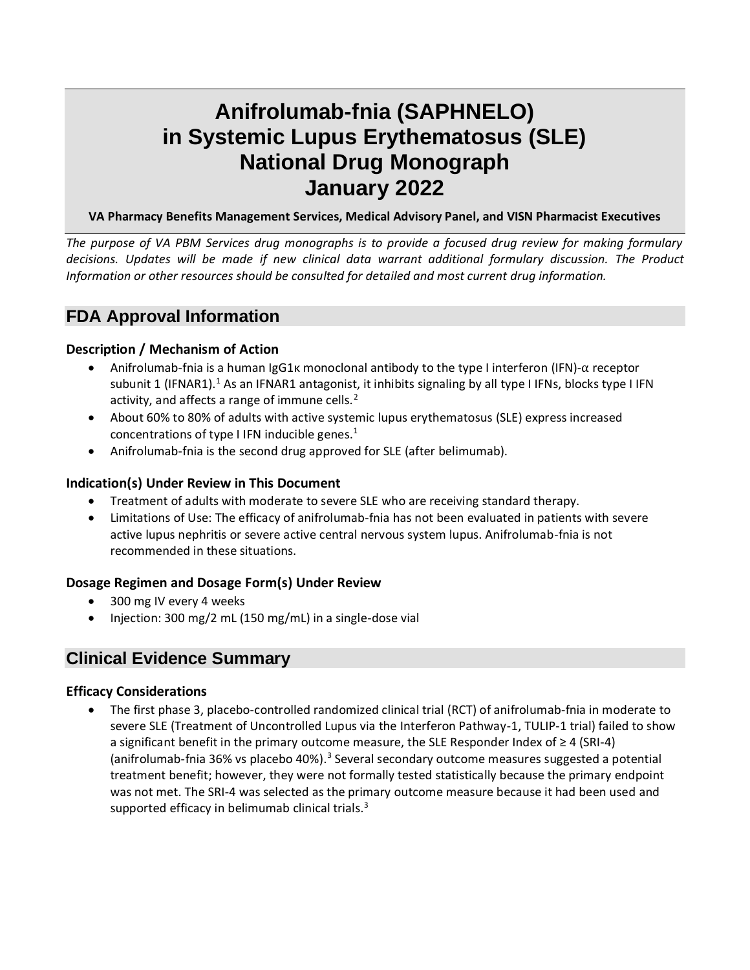# **Anifrolumab-fnia (SAPHNELO) in Systemic Lupus Erythematosus (SLE) National Drug Monograph January 2022**

# **VA Pharmacy Benefits Management Services, Medical Advisory Panel, and VISN Pharmacist Executives**

*The purpose of VA PBM Services drug monographs is to provide a focused drug review for making formulary decisions. Updates will be made if new clinical data warrant additional formulary discussion. The Product Information or other resources should be consulted for detailed and most current drug information.*

# **FDA Approval Information**

# **Description / Mechanism of Action**

- <span id="page-0-0"></span>• Anifrolumab-fnia is a human IgG1κ monoclonal antibody to the type I interferon (IFN)-α receptor subunit 1 (IFNAR1).<sup>1</sup> As an IFNAR1 antagonist, it inhibits signaling by all type I IFNs, blocks type I IFN activity, and affects a range of immune cells.<sup>2</sup>
- <span id="page-0-2"></span>• About 60% to 80% of adults with active systemic lupus erythematosus (SLE) express increased concentrations of type I IFN inducible genes[.](#page-0-0) $<sup>1</sup>$ </sup>
- Anifrolumab-fnia is the second drug approved for SLE (after belimumab).

# **Indication(s) Under Review in This Document**

- Treatment of adults with moderate to severe SLE who are receiving standard therapy.
- Limitations of Use: The efficacy of anifrolumab-fnia has not been evaluated in patients with severe active lupus nephritis or severe active central nervous system lupus. Anifrolumab-fnia is not recommended in these situations.

# **Dosage Regimen and Dosage Form(s) Under Review**

- 300 mg IV every 4 weeks
- Injection: 300 mg/2 mL (150 mg/mL) in a single-dose vial

# **Clinical Evidence Summary**

# **Efficacy Considerations**

<span id="page-0-1"></span>• The first phase 3, placebo-controlled randomized clinical trial (RCT) of anifrolumab-fnia in moderate to severe SLE (Treatment of Uncontrolled Lupus via the Interferon Pathway-1, TULIP-1 trial) failed to show a significant benefit in the primary outcome measure, the SLE Responder Index of ≥ 4 (SRI-4) (anifrolumab-fnia 36% vs placebo 40%).<sup>3</sup> Several secondary outcome measures suggested a potential treatment benefit; however, they were not formally tested statistically because the primary endpoint was not met. The SRI-4 was selected as the primary outcome measure because it had been used and supported efficacy in belimumab clinical trials. $3$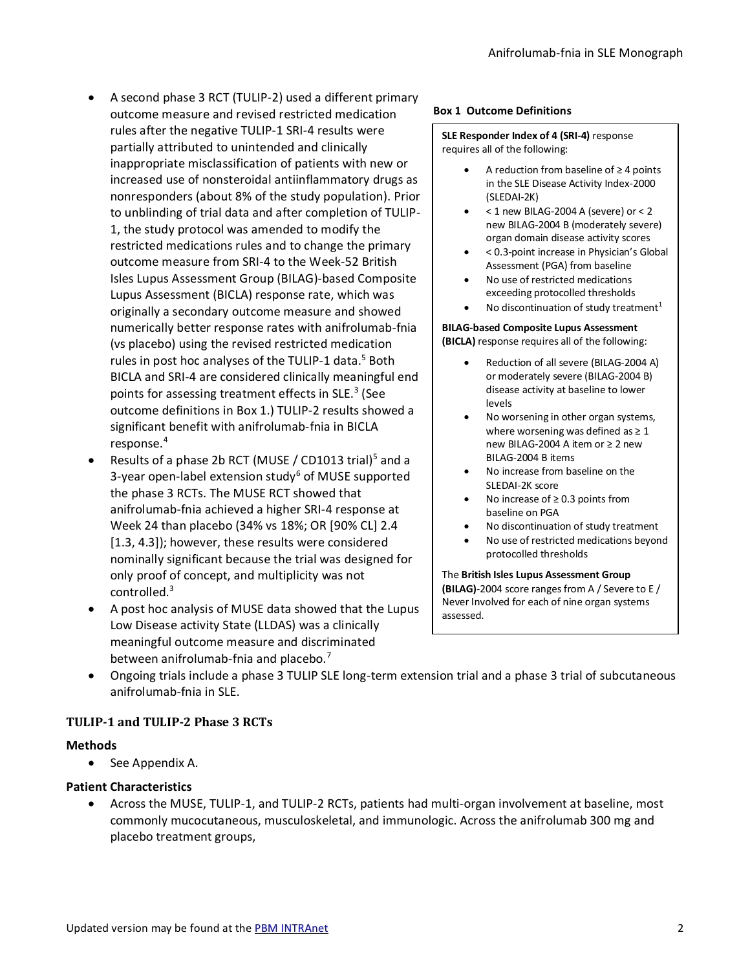- A second phase 3 RCT (TULIP-2) used a different primary outcome measure and revised restricted medication rules after the negative TULIP-1 SRI-4 results were partially attributed to unintended and clinically inappropriate misclassification of patients with new or increased use of nonsteroidal antiinflammatory drugs as nonresponders (about 8% of the study population). Prior to unblinding of trial data and after completion of TULIP-1, the study protocol was amended to modify the restricted medications rules and to change the primary outcome measure from SRI-4 to the Week-52 British Isles Lupus Assessment Group (BILAG)-based Composite Lupus Assessment (BICLA) response rate, which was originally a secondary outcome measure and showed numerically better response rates with anifrolumab-fnia (vs placebo) using the revised restricted medication rules in post hoc analyses of the TULIP-1 data.<sup>[5](#page-1-0)</sup> Both BICLA and SRI-4 are considered clinically meaningful end points for assessing treatment effects in SLE.<sup>[3](#page-0-1)</sup> (See outcome definitions in [Box 1.](#page-1-1)) TULIP-2 results showed a significant benefit with anifrolumab-fnia in BICLA response.<sup>4</sup>
- <span id="page-1-2"></span>• Results of a phase 2b RCT (MUSE / CD1013 trial)<sup>5</sup> and a 3-year open-label extension study<sup>6</sup> of MUSE supported the phase 3 RCTs. The MUSE RCT showed that anifrolumab-fnia achieved a higher SRI-4 response at Week 24 than placebo (34% vs 18%; OR [90% CL] 2.4 [1.3, 4.3]); however, these results were considered nominally significant because the trial was designed for only proof of concept, and multiplicity was not controlled.[3](#page-0-1)
- A post hoc analysis of MUSE data showed that the Lupus Low Disease activity State (LLDAS) was a clinically meaningful outcome measure and discriminated between anifrolumab-fnia and placebo.<sup>7</sup>

#### <span id="page-1-1"></span>**Box 1 Outcome Definitions**

#### **SLE Responder Index of 4 (SRI-4)** response requires all of the following:

- A reduction from baseline of  $\geq 4$  points in the SLE Disease Activity Index-2000 (SLEDAI-2K)
- < 1 new BILAG-2004 A (severe) or < 2 new BILAG-2004 B (moderately severe) organ domain disease activity scores
- < 0.3-point increase in Physician's Global Assessment (PGA) from baseline
- No use of restricted medications exceeding protocolled thresholds
- No discontinuation of study treatment<sup>1</sup>

# **BILAG-based Composite Lupus Assessment (BICLA)** response requires all of the following:

- Reduction of all severe (BILAG-2004 A) or moderately severe (BILAG-2004 B) disease activity at baseline to lower levels
- No worsening in other organ systems, where worsening was defined as  $\geq 1$ new BILAG-2004 A item or ≥ 2 new BILAG-2004 B items
- <span id="page-1-0"></span>• No increase from baseline on the SLEDAI-2K score
- No increase of  $\geq$  0.3 points from baseline on PGA
- No discontinuation of study treatment
- No use of restricted medications beyond protocolled thresholds

The **British Isles Lupus Assessment Group (BILAG)**-2004 score ranges from A / Severe to E / Never Involved for each of nine organ systems assessed.

• Ongoing trials include a phase 3 TULIP SLE long-term extension trial and a phase 3 trial of subcutaneous anifrolumab-fnia in SLE.

# **TULIP-1 and TULIP-2 Phase 3 RCTs**

# **Methods**

• See [Appendix A.](#page-13-0)

# **Patient Characteristics**

• Across the MUSE, TULIP-1, and TULIP-2 RCTs, patients had multi-organ involvement at baseline, most commonly mucocutaneous, musculoskeletal, and immunologic. Across the anifrolumab 300 mg and placebo treatment groups,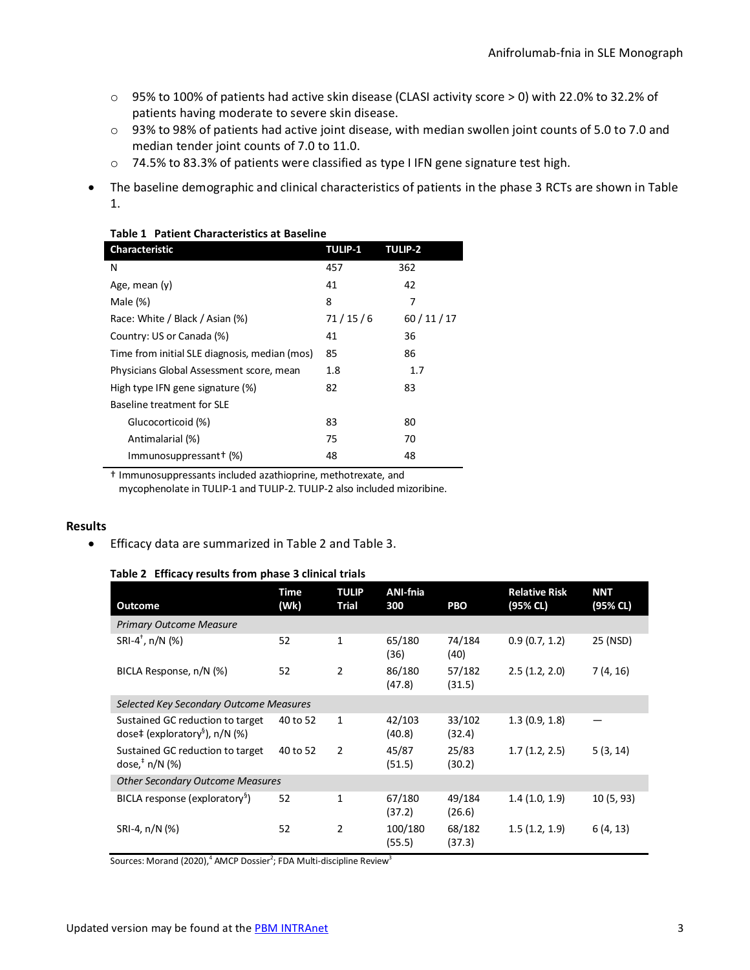- o 95% to 100% of patients had active skin disease (CLASI activity score > 0) with 22.0% to 32.2% of patients having moderate to severe skin disease.
- o 93% to 98% of patients had active joint disease, with median swollen joint counts of 5.0 to 7.0 and median tender joint counts of 7.0 to 11.0.
- o 74.5% to 83.3% of patients were classified as type I IFN gene signature test high.
- The baseline demographic and clinical characteristics of patients in the phase 3 RCTs are shown in [Table](#page-2-0)  [1.](#page-2-0)

| <b>Characteristic</b>                         | <b>TULIP-1</b> | <b>TULIP-2</b> |
|-----------------------------------------------|----------------|----------------|
| N                                             | 457            | 362            |
| Age, mean (y)                                 | 41             | 42             |
| Male $(\%)$                                   | 8              | 7              |
| Race: White / Black / Asian (%)               | 71/15/6        | 60/11/17       |
| Country: US or Canada (%)                     | 41             | 36             |
| Time from initial SLE diagnosis, median (mos) | 85             | 86             |
| Physicians Global Assessment score, mean      | 1.8            | 1.7            |
| High type IFN gene signature (%)              | 82             | 83             |
| Baseline treatment for SLE                    |                |                |
| Glucocorticoid (%)                            | 83             | 80             |
| Antimalarial (%)                              | 75             | 70             |
| Immunosuppressant+ (%)                        | 48             | 48             |

#### <span id="page-2-0"></span>**Table 1 Patient Characteristics at Baseline**

† Immunosuppressants included azathioprine, methotrexate, and mycophenolate in TULIP-1 and TULIP-2. TULIP-2 also included mizoribine.

#### **Results**

<span id="page-2-1"></span>• Efficacy data are summarized in [Table 2](#page-2-1) an[d Table 3.](#page-3-0)

#### **Table 2 Efficacy results from phase 3 clinical trials**

| <b>Outcome</b>                                                                   | Time<br>(Wk) | <b>TULIP</b><br><b>Trial</b> | <b>ANI-fnia</b><br>300 | <b>PBO</b>       | <b>Relative Risk</b><br>(95% CL) | <b>NNT</b><br>(95% CL) |
|----------------------------------------------------------------------------------|--------------|------------------------------|------------------------|------------------|----------------------------------|------------------------|
| <b>Primary Outcome Measure</b>                                                   |              |                              |                        |                  |                                  |                        |
| SRI-4 <sup>+</sup> , $n/N$ (%)                                                   | 52           | $\mathbf{1}$                 | 65/180<br>(36)         | 74/184<br>(40)   | 0.9(0.7, 1.2)                    | 25 (NSD)               |
| BICLA Response, n/N (%)                                                          | 52           | $\overline{2}$               | 86/180<br>(47.8)       | 57/182<br>(31.5) | 2.5(1.2, 2.0)                    | 7(4, 16)               |
| Selected Key Secondary Outcome Measures                                          |              |                              |                        |                  |                                  |                        |
| Sustained GC reduction to target<br>dose‡ (exploratory <sup>§</sup> ), $n/N$ (%) | 40 to 52     | $\mathbf{1}$                 | 42/103<br>(40.8)       | 33/102<br>(32.4) | 1.3(0.9, 1.8)                    |                        |
| Sustained GC reduction to target<br>dose, $\frac{1}{2}$ n/N (%)                  | 40 to 52     | $\mathcal{P}$                | 45/87<br>(51.5)        | 25/83<br>(30.2)  | 1.7(1.2, 2.5)                    | 5(3, 14)               |
| <b>Other Secondary Outcome Measures</b>                                          |              |                              |                        |                  |                                  |                        |
| BICLA response (exploratory <sup>9</sup> )                                       | 52           | $\mathbf{1}$                 | 67/180<br>(37.2)       | 49/184<br>(26.6) | 1.4(1.0, 1.9)                    | 10(5, 93)              |
| SRI-4, n/N (%)                                                                   | 52           | $\overline{2}$               | 100/180<br>(55.5)      | 68/182<br>(37.3) | 1.5(1.2, 1.9)                    | 6(4, 13)               |

Sources: Morand (2020[\),](#page-1-2)<sup>4</sup> AMCP Dossi[er](#page-0-2)<sup>2</sup>; FDA Multi-discipline Revie[w](#page-0-1)<sup>3</sup>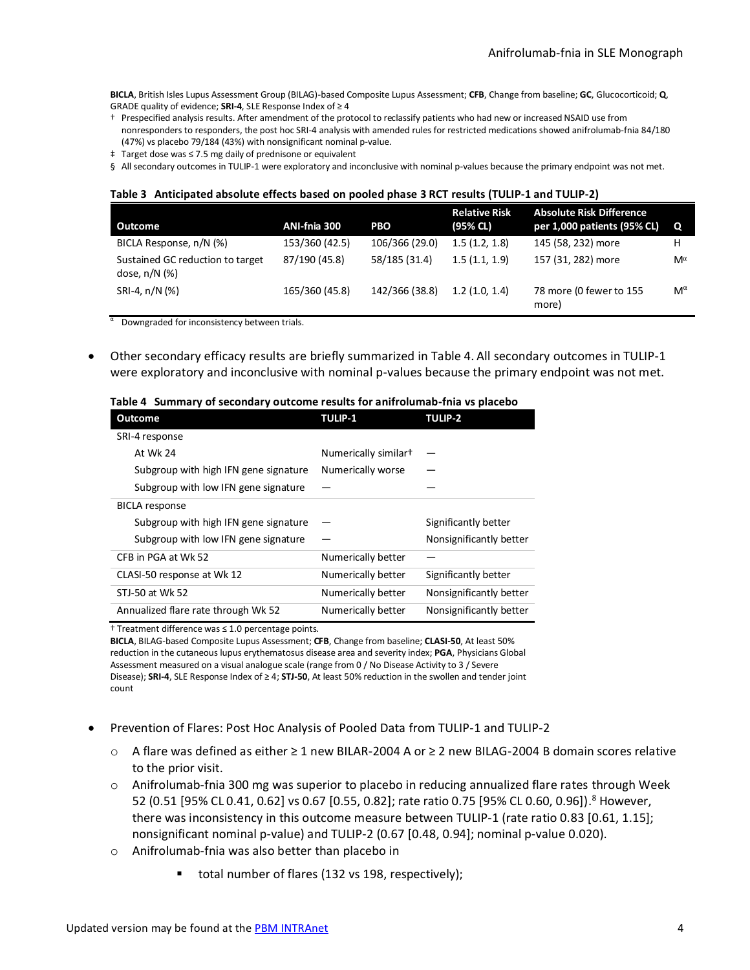**BICLA**, British Isles Lupus Assessment Group (BILAG)-based Composite Lupus Assessment; **CFB**, Change from baseline; **GC**, Glucocorticoid; **Q**, GRADE quality of evidence; **SRI-4**, SLE Response Index of ≥ 4

- † Prespecified analysis results. After amendment of the protocol to reclassify patients who had new or increased NSAID use from nonresponders to responders, the post hoc SRI-4 analysis with amended rules for restricted medications showed anifrolumab-fnia 84/180 (47%) vs placebo 79/184 (43%) with nonsignificant nominal p-value.
- ‡ Target dose was ≤ 7.5 mg daily of prednisone or equivalent
- <span id="page-3-0"></span>§ All secondary outcomes in TULIP-1 were exploratory and inconclusive with nominal p-values because the primary endpoint was not met.

#### **Table 3 Anticipated absolute effects based on pooled phase 3 RCT results (TULIP-1 and TULIP-2)**

| Outcome                                             | ANI-fnia 300   | <b>PBO</b>     | <b>Relative Risk</b><br>(95% CL) | <b>Absolute Risk Difference</b><br>per 1,000 patients (95% CL) | $\mathbf{o}$ |
|-----------------------------------------------------|----------------|----------------|----------------------------------|----------------------------------------------------------------|--------------|
| BICLA Response, n/N (%)                             | 153/360 (42.5) | 106/366 (29.0) | 1.5(1.2, 1.8)                    | 145 (58, 232) more                                             | н            |
| Sustained GC reduction to target<br>dose, $n/N$ (%) | 87/190 (45.8)  | 58/185 (31.4)  | 1.5(1.1, 1.9)                    | 157 (31, 282) more                                             | Mα           |
| SRI-4, n/N (%)                                      | 165/360 (45.8) | 142/366 (38.8) | 1.2(1.0, 1.4)                    | 78 more (0 fewer to 155<br>more)                               | $M^{\alpha}$ |

α Downgraded for inconsistency between trials.

<span id="page-3-1"></span>• Other secondary efficacy results are briefly summarized in [Table 4.](#page-3-1) All secondary outcomes in TULIP-1 were exploratory and inconclusive with nominal p-values because the primary endpoint was not met.

#### **Table 4 Summary of secondary outcome results for anifrolumab-fnia vs placebo**

| <b>Outcome</b>                        | <b>TULIP-1</b>       | <b>TULIP-2</b>          |
|---------------------------------------|----------------------|-------------------------|
| SRI-4 response                        |                      |                         |
| At Wk 24                              | Numerically similart |                         |
| Subgroup with high IFN gene signature | Numerically worse    |                         |
| Subgroup with low IFN gene signature  |                      |                         |
| <b>BICLA</b> response                 |                      |                         |
| Subgroup with high IFN gene signature |                      | Significantly better    |
| Subgroup with low IFN gene signature  |                      | Nonsignificantly better |
| CFB in PGA at Wk 52                   | Numerically better   |                         |
| CLASI-50 response at Wk 12            | Numerically better   | Significantly better    |
| STJ-50 at Wk 52                       | Numerically better   | Nonsignificantly better |
| Annualized flare rate through Wk 52   | Numerically better   | Nonsignificantly better |

† Treatment difference was ≤ 1.0 percentage points.

**BICLA**, BILAG-based Composite Lupus Assessment; **CFB**, Change from baseline; **CLASI-50**, At least 50% reduction in the cutaneous lupus erythematosus disease area and severity index; **PGA**, Physicians Global Assessment measured on a visual analogue scale (range from 0 / No Disease Activity to 3 / Severe Disease); **SRI-4**, SLE Response Index of ≥ 4; **STJ-50**, At least 50% reduction in the swollen and tender joint count

- <span id="page-3-2"></span>• Prevention of Flares: Post Hoc Analysis of Pooled Data from TULIP-1 and TULIP-2
	- o A flare was defined as either ≥ 1 new BILAR-2004 A or ≥ 2 new BILAG-2004 B domain scores relative to the prior visit.
	- $\circ$  Anifrolumab-fnia 300 mg was superior to placebo in reducing annualized flare rates through Week 52 (0.51 [95% CL 0.41, 0.62] vs 0.67 [0.55, 0.82]; rate ratio 0.75 [95% CL 0.60, 0.96]).<sup>8</sup> However, there was inconsistency in this outcome measure between TULIP-1 (rate ratio 0.83 [0.61, 1.15]; nonsignificant nominal p-value) and TULIP-2 (0.67 [0.48, 0.94]; nominal p-value 0.020).
	- o Anifrolumab-fnia was also better than placebo in
		- total number of flares (132 vs 198, respectively);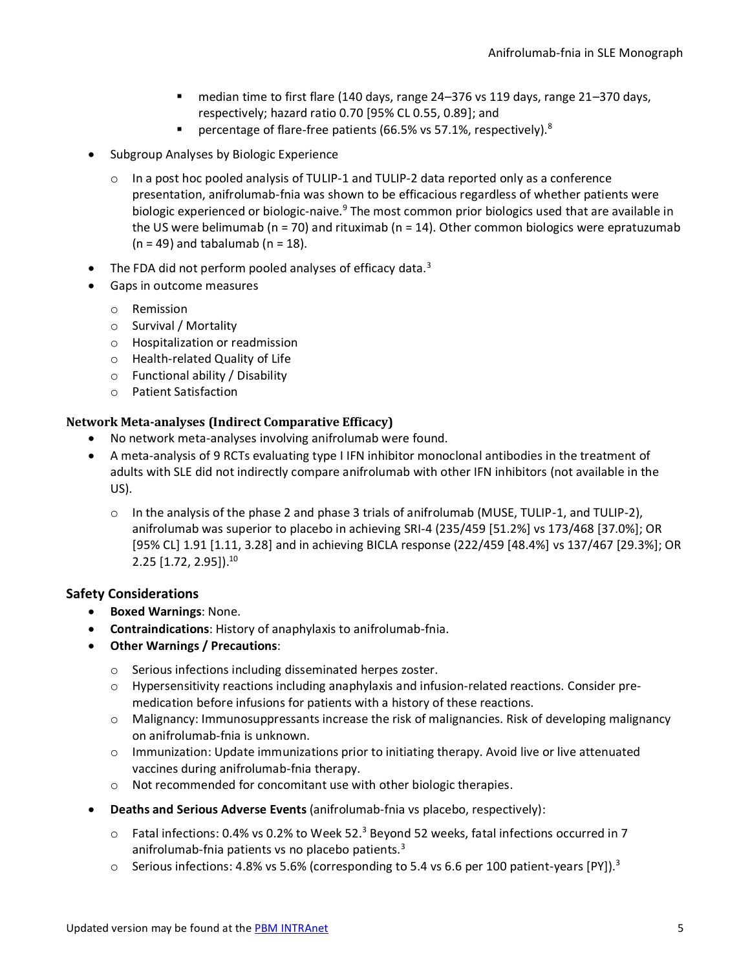- median time to first flare (140 days, range 24–376 vs 119 days, range 21–370 days, respectively; hazard ratio 0.70 [95% CL 0.55, 0.89]; and
- percentage of flare-free patients (66.5% vs 57.1%, respectively).<sup>[8](#page-3-2)</sup>
- Subgroup Analyses by Biologic Experience
	- $\circ$  In a post hoc pooled analysis of TULIP-1 and TULIP-2 data reported only as a conference presentation, anifrolumab-fnia was shown to be efficacious regardless of whether patients were biologic experienced or biologic-naive.<sup>9</sup> The most common prior biologics used that are available in the US were belimumab ( $n = 70$ ) and rituximab ( $n = 14$ ). Other common biologics were epratuzumab  $(n = 49)$  and tabalumab  $(n = 18)$ .
- The FDA did not perform pooled analyses of efficacy data. $3$
- Gaps in outcome measures
	- o Remission
	- o Survival / Mortality
	- o Hospitalization or readmission
	- o Health-related Quality of Life
	- o Functional ability / Disability
	- o Patient Satisfaction

# **Network Meta-analyses (Indirect Comparative Efficacy)**

- No network meta-analyses involving anifrolumab were found.
- A meta-analysis of 9 RCTs evaluating type I IFN inhibitor monoclonal antibodies in the treatment of adults with SLE did not indirectly compare anifrolumab with other IFN inhibitors (not available in the US).
	- $\circ$  In the analysis of the phase 2 and phase 3 trials of anifrolumab (MUSE, TULIP-1, and TULIP-2), anifrolumab was superior to placebo in achieving SRI-4 (235/459 [51.2%] vs 173/468 [37.0%]; OR [95% CL] 1.91 [1.11, 3.28] and in achieving BICLA response (222/459 [48.4%] vs 137/467 [29.3%]; OR 2.25 [1.72, 2.95]).<sup>10</sup>

# **Safety Considerations**

- **Boxed Warnings**: None.
- **Contraindications**: History of anaphylaxis to anifrolumab-fnia.
- **Other Warnings / Precautions**:
	- o Serious infections including disseminated herpes zoster.
	- o Hypersensitivity reactions including anaphylaxis and infusion-related reactions. Consider premedication before infusions for patients with a history of these reactions.
	- o Malignancy: Immunosuppressants increase the risk of malignancies. Risk of developing malignancy on anifrolumab-fnia is unknown.
	- $\circ$  Immunization: Update immunizations prior to initiating therapy. Avoid live or live attenuated vaccines during anifrolumab-fnia therapy.
	- o Not recommended for concomitant use with other biologic therapies.
- **Deaths and Serious Adverse Events** (anifrolumab-fnia vs placebo, respectively):
	- $\circ$  Fatal infections: 0.4% vs 0.2% to Week 52.<sup>3</sup> [B](#page-0-1)eyond 52 weeks, fatal infections occurred in 7 anifrolumab-fnia patients vs no placebo patients.<sup>[3](#page-0-1)</sup>
	- $\circ$  Serious infections: 4.8% vs 5.6% (corresponding to 5.4 vs 6.6 per 100 patient-years [PY][\).](#page-0-1)<sup>3</sup>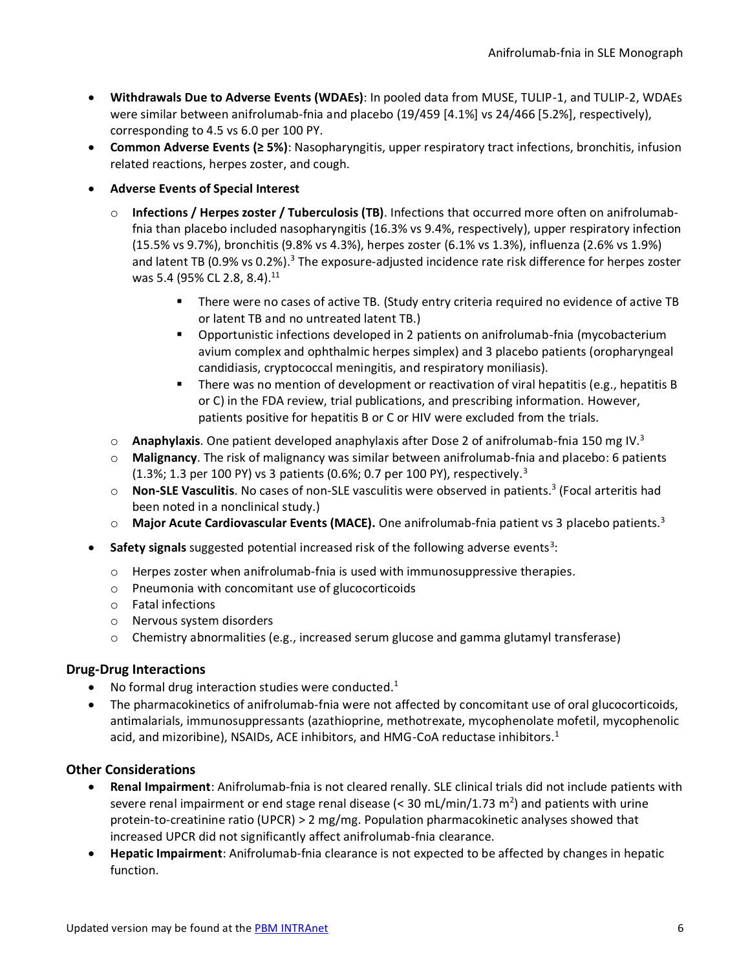- **Withdrawals Due to Adverse Events (WDAEs)**: In pooled data from MUSE, TULIP-1, and TULIP-2, WDAEs were similar between anifrolumab-fnia and placebo (19/459 [4.1%] vs 24/466 [5.2%], respectively), corresponding to 4.5 vs 6.0 per 100 PY.
- **Common Adverse Events (≥ 5%)**: Nasopharyngitis, upper respiratory tract infections, bronchitis, infusion related reactions, herpes zoster, and cough.
- **Adverse Events of Special Interest** 
	- o **Infections / Herpes zoster / Tuberculosis (TB)**. Infections that occurred more often on anifrolumabfnia than placebo included nasopharyngitis (16.3% vs 9.4%, respectively), upper respiratory infection (15.5% vs 9.7%), bronchitis (9.8% vs 4.3%), herpes zoster (6.1% vs 1.3%), influenza (2.6% vs 1.9%) and latent TB (0.9% vs 0.2%).<sup>[3](#page-0-1)</sup> The exposure-adjusted incidence rate risk difference for herpes zoster was 5.4 (95% CL 2.8, 8.4).<sup>11</sup>
		- There were no cases of active TB. (Study entry criteria required no evidence of active TB or latent TB and no untreated latent TB.)
		- Opportunistic infections developed in 2 patients on anifrolumab-fnia (mycobacterium avium complex and ophthalmic herpes simplex) and 3 placebo patients (oropharyngeal candidiasis, cryptococcal meningitis, and respiratory moniliasis).
		- **•** There was no mention of development or reactivation of viral hepatitis (e.g., hepatitis B or C) in the FDA review, trial publications, and prescribing information. However, patients positive for hepatitis B or C or HIV were excluded from the trials.
	- o **Anaphylaxis**. One patient developed anaphylaxis after Dose 2 of anifrolumab-fnia 150 mg IV[.](#page-0-1)<sup>3</sup>
	- o **Malignancy**. The risk of malignancy was similar between anifrolumab-fnia and placebo: 6 patients (1.[3](#page-0-1)%; 1.3 per 100 PY) vs 3 patients (0.6%; 0.7 per 100 PY), respectively.<sup>3</sup>
	- o **Non-SLE Vasculitis**[.](#page-0-1) No cases of non-SLE vasculitis were observed in patients.<sup>3</sup> (Focal arteritis had been noted in a nonclinical study.)
	- o **Major Acute Cardiovascular Events (MACE).** One anifrolumab-fnia patient vs 3 placebo patients[.](#page-0-1)<sup>3</sup>
- Safety signals suggested potential increased risk of the following adverse events<sup>[3](#page-0-1)</sup>:
	- o Herpes zoster when anifrolumab-fnia is used with immunosuppressive therapies.
	- o Pneumonia with concomitant use of glucocorticoids
	- o Fatal infections
	- o Nervous system disorders
	- o Chemistry abnormalities (e.g., increased serum glucose and gamma glutamyl transferase)

# **Drug-Drug Interactions**

- No formal drug interaction studies were conducted[.](#page-0-0) $1$
- The pharmacokinetics of anifrolumab-fnia were not affected by concomitant use of oral glucocorticoids, antimalarials, immunosuppressants (azathioprine, methotrexate, mycophenolate mofetil, mycophenolic acid, and mizoribine), NSAIDs, ACE inhibitors, and HMG-CoA reductase inhibitors[.](#page-0-0)<sup>1</sup>

# **Other Considerations**

- **Renal Impairment**: Anifrolumab-fnia is not cleared renally. SLE clinical trials did not include patients with severe renal impairment or end stage renal disease (< 30 mL/min/1.73 m<sup>2</sup>) and patients with urine protein-to-creatinine ratio (UPCR) > 2 mg/mg. Population pharmacokinetic analyses showed that increased UPCR did not significantly affect anifrolumab-fnia clearance.
- **Hepatic Impairment**: Anifrolumab-fnia clearance is not expected to be affected by changes in hepatic function.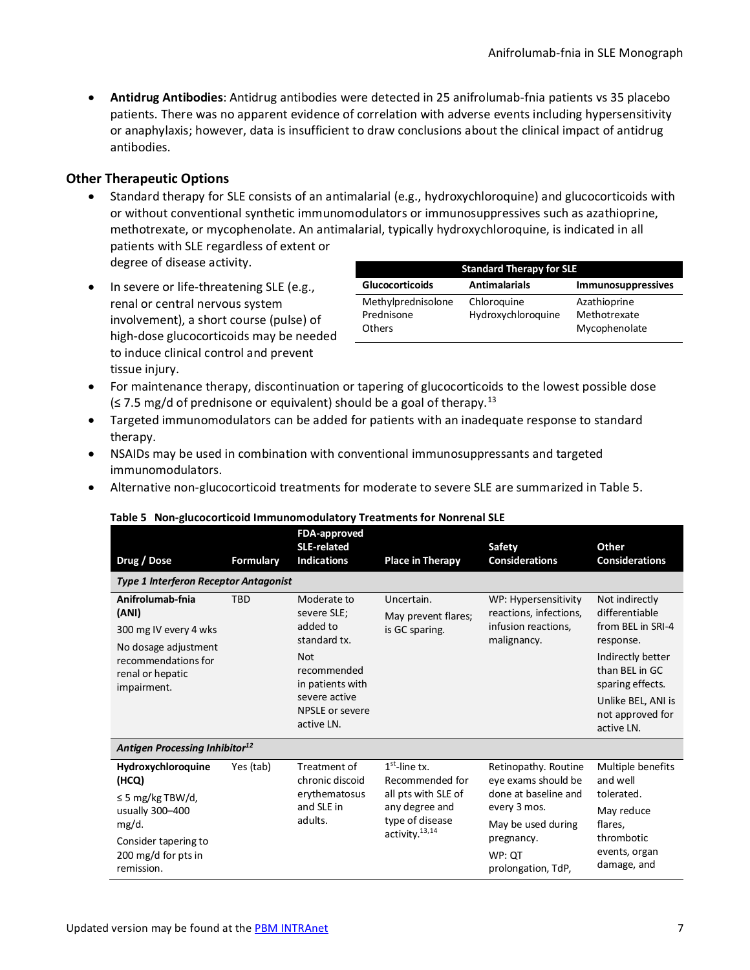• **Antidrug Antibodies**: Antidrug antibodies were detected in 25 anifrolumab-fnia patients vs 35 placebo patients. There was no apparent evidence of correlation with adverse events including hypersensitivity or anaphylaxis; however, data is insufficient to draw conclusions about the clinical impact of antidrug antibodies.

# **Other Therapeutic Options**

- Standard therapy for SLE consists of an antimalarial (e.g., hydroxychloroquine) and glucocorticoids with or without conventional synthetic immunomodulators or immunosuppressives such as azathioprine, methotrexate, or mycophenolate. An antimalarial, typically hydroxychloroquine, is indicated in all patients with SLE regardless of extent or degree of disease activity.
- In severe or life-threatening SLE (e.g., renal or central nervous system involvement), a short course (pulse) of high-dose glucocorticoids may be needed to induce clinical control and prevent tissue injury.

| <b>Standard Therapy for SLE</b>                   |                                   |                                               |  |  |
|---------------------------------------------------|-----------------------------------|-----------------------------------------------|--|--|
| <b>Glucocorticoids</b>                            | <b>Antimalarials</b>              | <b>Immunosuppressives</b>                     |  |  |
| Methylprednisolone<br>Prednisone<br><b>Others</b> | Chloroquine<br>Hydroxychloroquine | Azathioprine<br>Methotrexate<br>Mycophenolate |  |  |

- For maintenance therapy, discontinuation or tapering of glucocorticoids to the lowest possible dose  $\leq$  7.5 mg/d of prednisone or equivalent) should be a goal of therapy.<sup>[13](#page-6-0)</sup>
- Targeted immunomodulators can be added for patients with an inadequate response to standard therapy.
- NSAIDs may be used in combination with conventional immunosuppressants and targeted immunomodulators.
- <span id="page-6-1"></span>• Alternative non-glucocorticoid treatments for moderate to severe SLE are summarized i[n Table 5.](#page-6-1)

<span id="page-6-3"></span><span id="page-6-2"></span><span id="page-6-0"></span>

| Drug / Dose                                                                                                                                   | <b>Formulary</b> | FDA-approved<br><b>SLE-related</b><br><b>Indications</b>                                                                                                  | <b>Place in Therapy</b>                                                                                                      | <b>Safety</b><br><b>Considerations</b>                                                                                                                  | Other<br><b>Considerations</b>                                                                                                                                                        |
|-----------------------------------------------------------------------------------------------------------------------------------------------|------------------|-----------------------------------------------------------------------------------------------------------------------------------------------------------|------------------------------------------------------------------------------------------------------------------------------|---------------------------------------------------------------------------------------------------------------------------------------------------------|---------------------------------------------------------------------------------------------------------------------------------------------------------------------------------------|
| <b>Type 1 Interferon Receptor Antagonist</b>                                                                                                  |                  |                                                                                                                                                           |                                                                                                                              |                                                                                                                                                         |                                                                                                                                                                                       |
| Anifrolumab-fnia<br>(ANI)<br>300 mg IV every 4 wks<br>No dosage adjustment<br>recommendations for<br>renal or hepatic<br>impairment.          | <b>TBD</b>       | Moderate to<br>severe SLE;<br>added to<br>standard tx.<br><b>Not</b><br>recommended<br>in patients with<br>severe active<br>NPSLE or severe<br>active LN. | Uncertain.<br>May prevent flares;<br>is GC sparing.                                                                          | WP: Hypersensitivity<br>reactions, infections,<br>infusion reactions,<br>malignancy.                                                                    | Not indirectly<br>differentiable<br>from BEL in SRI-4<br>response.<br>Indirectly better<br>than BEL in GC<br>sparing effects.<br>Unlike BEL, ANI is<br>not approved for<br>active LN. |
| Antigen Processing Inhibitor <sup>12</sup>                                                                                                    |                  |                                                                                                                                                           |                                                                                                                              |                                                                                                                                                         |                                                                                                                                                                                       |
| Hydroxychloroquine<br>(HCQ)<br>$\leq$ 5 mg/kg TBW/d,<br>usually 300-400<br>mg/d.<br>Consider tapering to<br>200 mg/d for pts in<br>remission. | Yes (tab)        | Treatment of<br>chronic discoid<br>erythematosus<br>and SLE in<br>adults.                                                                                 | $1st$ -line tx.<br>Recommended for<br>all pts with SLE of<br>any degree and<br>type of disease<br>activity. <sup>13,14</sup> | Retinopathy. Routine<br>eye exams should be<br>done at baseline and<br>every 3 mos.<br>May be used during<br>pregnancy.<br>WP: QT<br>prolongation, TdP, | Multiple benefits<br>and well<br>tolerated.<br>May reduce<br>flares.<br>thrombotic<br>events, organ<br>damage, and                                                                    |

#### **Table 5 Non-glucocorticoid Immunomodulatory Treatments for Nonrenal SLE**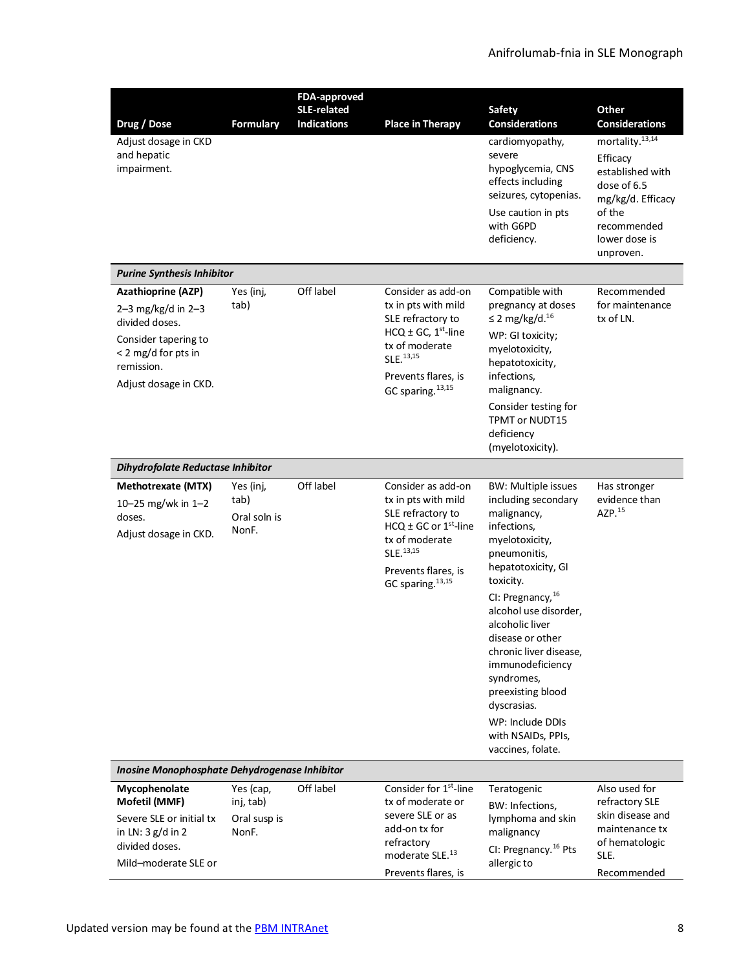<span id="page-7-2"></span><span id="page-7-1"></span><span id="page-7-0"></span>

|                                                                                                                                                           |                                                 | <b>FDA-approved</b>                      |                                                                                                                                                                                                         |                                                                                                                                                                                                                                                                                                                                                                                                          |                                                                                                                                                        |
|-----------------------------------------------------------------------------------------------------------------------------------------------------------|-------------------------------------------------|------------------------------------------|---------------------------------------------------------------------------------------------------------------------------------------------------------------------------------------------------------|----------------------------------------------------------------------------------------------------------------------------------------------------------------------------------------------------------------------------------------------------------------------------------------------------------------------------------------------------------------------------------------------------------|--------------------------------------------------------------------------------------------------------------------------------------------------------|
| Drug / Dose                                                                                                                                               | <b>Formulary</b>                                | <b>SLE-related</b><br><b>Indications</b> | <b>Place in Therapy</b>                                                                                                                                                                                 | <b>Safety</b><br><b>Considerations</b>                                                                                                                                                                                                                                                                                                                                                                   | Other<br><b>Considerations</b>                                                                                                                         |
| Adjust dosage in CKD<br>and hepatic<br>impairment.                                                                                                        |                                                 |                                          |                                                                                                                                                                                                         | cardiomyopathy,<br>severe<br>hypoglycemia, CNS<br>effects including<br>seizures, cytopenias.<br>Use caution in pts<br>with G6PD<br>deficiency.                                                                                                                                                                                                                                                           | mortality. <sup>13,14</sup><br>Efficacy<br>established with<br>dose of 6.5<br>mg/kg/d. Efficacy<br>of the<br>recommended<br>lower dose is<br>unproven. |
| <b>Purine Synthesis Inhibitor</b>                                                                                                                         |                                                 |                                          |                                                                                                                                                                                                         |                                                                                                                                                                                                                                                                                                                                                                                                          |                                                                                                                                                        |
| <b>Azathioprine (AZP)</b><br>2-3 mg/kg/d in $2-3$<br>divided doses.<br>Consider tapering to<br>< 2 mg/d for pts in<br>remission.<br>Adjust dosage in CKD. | Yes (inj,<br>tab)                               | Off label                                | Consider as add-on<br>tx in pts with mild<br>SLE refractory to<br>HCQ $\pm$ GC, 1 <sup>st</sup> -line<br>tx of moderate<br>SLE. <sup>13,15</sup><br>Prevents flares, is<br>GC sparing. <sup>13,15</sup> | Compatible with<br>pregnancy at doses<br>$\leq$ 2 mg/kg/d. <sup>16</sup><br>WP: GI toxicity;<br>myelotoxicity,<br>hepatotoxicity,<br>infections,<br>malignancy.<br>Consider testing for<br><b>TPMT or NUDT15</b><br>deficiency<br>(myelotoxicity).                                                                                                                                                       | Recommended<br>for maintenance<br>tx of LN.                                                                                                            |
| Dihydrofolate Reductase Inhibitor                                                                                                                         |                                                 |                                          |                                                                                                                                                                                                         |                                                                                                                                                                                                                                                                                                                                                                                                          |                                                                                                                                                        |
| Methotrexate (MTX)<br>10-25 mg/wk in 1-2<br>doses.<br>Adjust dosage in CKD.                                                                               | Yes (inj,<br>tab)<br>Oral soln is<br>NonF.      | Off label                                | Consider as add-on<br>tx in pts with mild<br>SLE refractory to<br>HCQ $\pm$ GC or 1 <sup>st</sup> -line<br>tx of moderate<br>SLE. 13,15<br>Prevents flares, is<br>GC sparing. <sup>13,15</sup>          | <b>BW: Multiple issues</b><br>including secondary<br>malignancy,<br>infections,<br>myelotoxicity,<br>pneumonitis,<br>hepatotoxicity, GI<br>toxicity.<br>CI: Pregnancy, 16<br>alcohol use disorder,<br>alcoholic liver<br>disease or other<br>chronic liver disease,<br>immunodeficiency<br>syndromes,<br>preexisting blood<br>dyscrasias.<br>WP: Include DDIs<br>with NSAIDs, PPIs,<br>vaccines, folate. | Has stronger<br>evidence than<br>AZP.15                                                                                                                |
| Inosine Monophosphate Dehydrogenase Inhibitor                                                                                                             |                                                 |                                          |                                                                                                                                                                                                         |                                                                                                                                                                                                                                                                                                                                                                                                          |                                                                                                                                                        |
| Mycophenolate<br>Mofetil (MMF)<br>Severe SLE or initial tx<br>in LN: 3 g/d in 2<br>divided doses.<br>Mild-moderate SLE or                                 | Yes (cap,<br>inj, tab)<br>Oral susp is<br>NonF. | Off label                                | Consider for 1 <sup>st</sup> -line<br>tx of moderate or<br>severe SLE or as<br>add-on tx for<br>refractory<br>moderate SLE. <sup>13</sup><br>Prevents flares, is                                        | Teratogenic<br>BW: Infections,<br>lymphoma and skin<br>malignancy<br>CI: Pregnancy. <sup>16</sup> Pts<br>allergic to                                                                                                                                                                                                                                                                                     | Also used for<br>refractory SLE<br>skin disease and<br>maintenance tx<br>of hematologic<br>SLE.<br>Recommended                                         |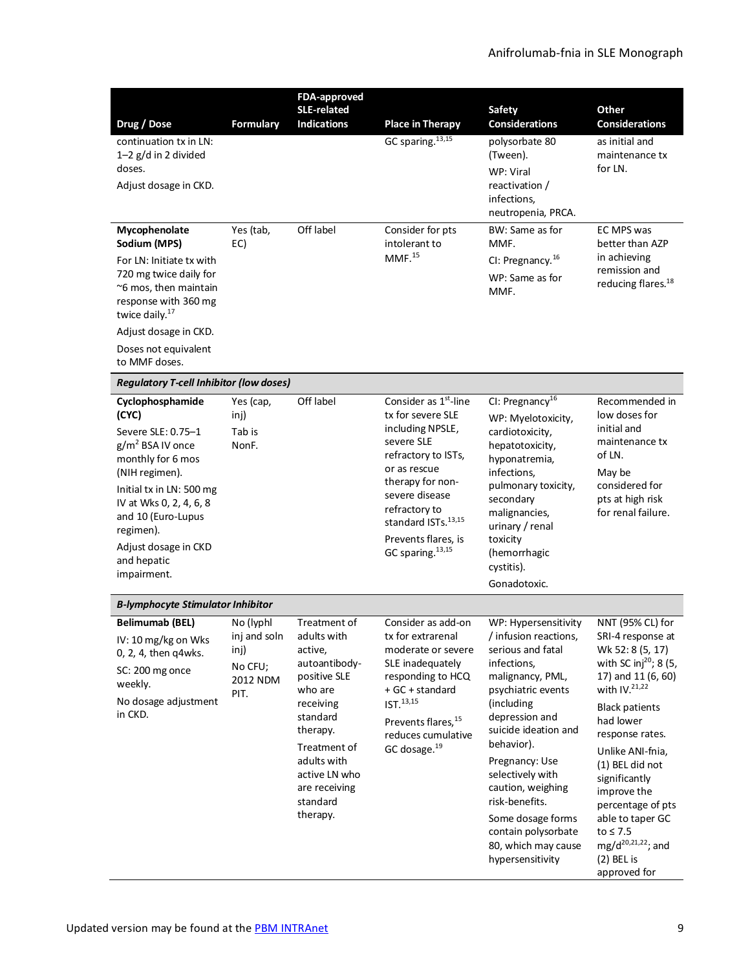<span id="page-8-2"></span><span id="page-8-1"></span><span id="page-8-0"></span>

| Drug / Dose<br>continuation tx in LN:                                                                                                                                                                                                                         | <b>Formulary</b>                                                 | FDA-approved<br><b>SLE-related</b><br><b>Indications</b>                                                                                                                                                         | <b>Place in Therapy</b><br>GC sparing. <sup>13,15</sup>                                                                                                                                                                                                                | <b>Safety</b><br><b>Considerations</b><br>polysorbate 80                                                                                                                                                                                                                                                                                                              | Other<br><b>Considerations</b><br>as initial and                                                                                                                                                                                                                                                                                                                                             |
|---------------------------------------------------------------------------------------------------------------------------------------------------------------------------------------------------------------------------------------------------------------|------------------------------------------------------------------|------------------------------------------------------------------------------------------------------------------------------------------------------------------------------------------------------------------|------------------------------------------------------------------------------------------------------------------------------------------------------------------------------------------------------------------------------------------------------------------------|-----------------------------------------------------------------------------------------------------------------------------------------------------------------------------------------------------------------------------------------------------------------------------------------------------------------------------------------------------------------------|----------------------------------------------------------------------------------------------------------------------------------------------------------------------------------------------------------------------------------------------------------------------------------------------------------------------------------------------------------------------------------------------|
| $1-2$ g/d in 2 divided<br>doses.<br>Adjust dosage in CKD.                                                                                                                                                                                                     |                                                                  |                                                                                                                                                                                                                  |                                                                                                                                                                                                                                                                        | (Tween).<br>WP: Viral<br>reactivation /<br>infections,                                                                                                                                                                                                                                                                                                                | maintenance tx<br>for LN.                                                                                                                                                                                                                                                                                                                                                                    |
| Mycophenolate<br>Sodium (MPS)<br>For LN: Initiate tx with<br>720 mg twice daily for<br>~6 mos, then maintain<br>response with 360 mg<br>twice daily. <sup>17</sup><br>Adjust dosage in CKD.<br>Doses not equivalent<br>to MMF doses.                          | Yes (tab,<br>EC)                                                 | Off label                                                                                                                                                                                                        | Consider for pts<br>intolerant to<br>MMF. <sup>15</sup>                                                                                                                                                                                                                | neutropenia, PRCA.<br>BW: Same as for<br>MMF.<br>CI: Pregnancy. <sup>16</sup><br>WP: Same as for<br>MMF.                                                                                                                                                                                                                                                              | EC MPS was<br>better than AZP<br>in achieving<br>remission and<br>reducing flares. <sup>18</sup>                                                                                                                                                                                                                                                                                             |
| <b>Regulatory T-cell Inhibitor (low doses)</b>                                                                                                                                                                                                                |                                                                  |                                                                                                                                                                                                                  |                                                                                                                                                                                                                                                                        |                                                                                                                                                                                                                                                                                                                                                                       |                                                                                                                                                                                                                                                                                                                                                                                              |
| Cyclophosphamide<br>(CYC)<br>Severe SLE: 0.75-1<br>$g/m^2$ BSA IV once<br>monthly for 6 mos<br>(NIH regimen).<br>Initial tx in LN: 500 mg<br>IV at Wks 0, 2, 4, 6, 8<br>and 10 (Euro-Lupus<br>regimen).<br>Adjust dosage in CKD<br>and hepatic<br>impairment. | Yes (cap,<br>inj)<br>Tab is<br>NonF.                             | Off label                                                                                                                                                                                                        | Consider as $1st$ -line<br>tx for severe SLE<br>including NPSLE,<br>severe SLE<br>refractory to ISTs,<br>or as rescue<br>therapy for non-<br>severe disease<br>refractory to<br>standard ISTs. <sup>13,15</sup><br>Prevents flares, is<br>GC sparing. <sup>13,15</sup> | CI: Pregnancy <sup>16</sup><br>WP: Myelotoxicity,<br>cardiotoxicity,<br>hepatotoxicity,<br>hyponatremia,<br>infections,<br>pulmonary toxicity,<br>secondary<br>malignancies,<br>urinary / renal<br>toxicity<br>(hemorrhagic<br>cystitis).<br>Gonadotoxic.                                                                                                             | Recommended in<br>low doses for<br>initial and<br>maintenance tx<br>of LN.<br>May be<br>considered for<br>pts at high risk<br>for renal failure.                                                                                                                                                                                                                                             |
| <b>B-lymphocyte Stimulator Inhibitor</b>                                                                                                                                                                                                                      |                                                                  |                                                                                                                                                                                                                  |                                                                                                                                                                                                                                                                        |                                                                                                                                                                                                                                                                                                                                                                       |                                                                                                                                                                                                                                                                                                                                                                                              |
| <b>Belimumab (BEL)</b><br>IV: 10 mg/kg on Wks<br>0, 2, 4, then q4wks.<br>SC: 200 mg once<br>weekly.<br>No dosage adjustment<br>in CKD.                                                                                                                        | No (lyphl<br>inj and soln<br>inj)<br>No CFU;<br>2012 NDM<br>PIT. | Treatment of<br>adults with<br>active,<br>autoantibody-<br>positive SLE<br>who are<br>receiving<br>standard<br>therapy.<br>Treatment of<br>adults with<br>active LN who<br>are receiving<br>standard<br>therapy. | Consider as add-on<br>tx for extrarenal<br>moderate or severe<br>SLE inadequately<br>responding to HCQ<br>+ GC + standard<br>IST. <sup>13,15</sup><br>Prevents flares, 15<br>reduces cumulative<br>GC dosage. <sup>19</sup>                                            | WP: Hypersensitivity<br>/ infusion reactions,<br>serious and fatal<br>infections,<br>malignancy, PML,<br>psychiatric events<br>(including<br>depression and<br>suicide ideation and<br>behavior).<br>Pregnancy: Use<br>selectively with<br>caution, weighing<br>risk-benefits.<br>Some dosage forms<br>contain polysorbate<br>80, which may cause<br>hypersensitivity | NNT (95% CL) for<br>SRI-4 response at<br>Wk 52: 8 (5, 17)<br>with SC inj <sup>20</sup> ; 8 (5,<br>17) and 11 (6, 60)<br>with $IV.21,22$<br><b>Black patients</b><br>had lower<br>response rates.<br>Unlike ANI-fnia,<br>(1) BEL did not<br>significantly<br>improve the<br>percentage of pts<br>able to taper GC<br>to $\leq 7.5$<br>$mg/d^{20,21,22}$ ; and<br>$(2)$ BEL is<br>approved for |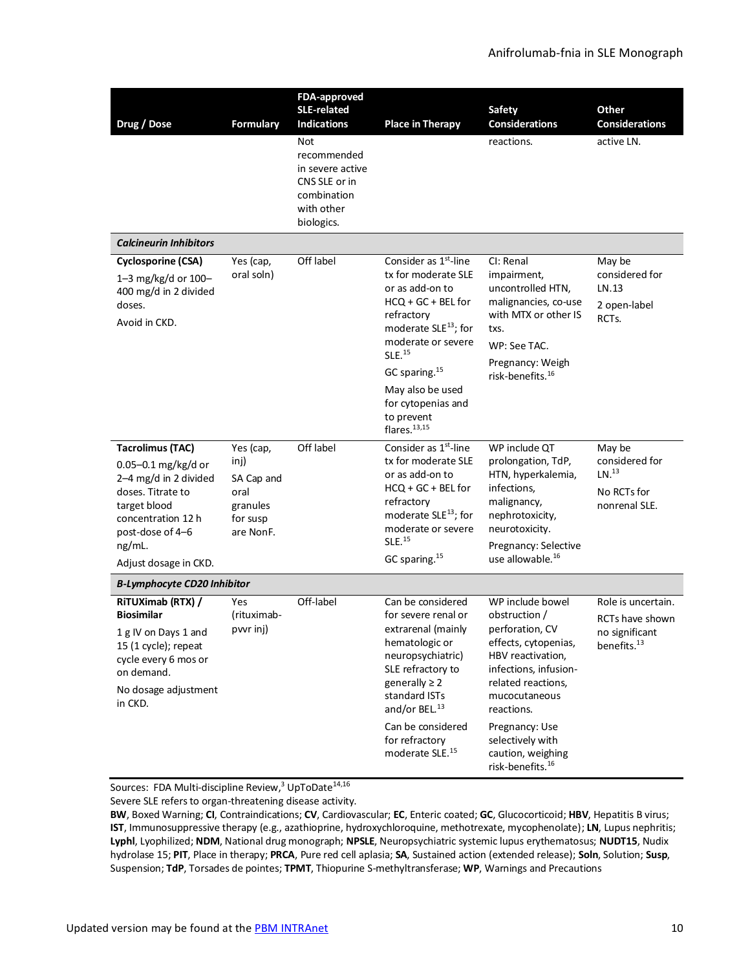| Drug / Dose                                                                                                                                                                               | <b>Formulary</b>                                                             | FDA-approved<br><b>SLE-related</b><br><b>Indications</b><br>Not<br>recommended<br>in severe active<br>CNS SLE or in<br>combination<br>with other<br>biologics. | <b>Place in Therapy</b>                                                                                                                                                                                                                                                                                 | <b>Safety</b><br><b>Considerations</b><br>reactions.                                                                                                                                                                                                                       | Other<br><b>Considerations</b><br>active LN.                                       |
|-------------------------------------------------------------------------------------------------------------------------------------------------------------------------------------------|------------------------------------------------------------------------------|----------------------------------------------------------------------------------------------------------------------------------------------------------------|---------------------------------------------------------------------------------------------------------------------------------------------------------------------------------------------------------------------------------------------------------------------------------------------------------|----------------------------------------------------------------------------------------------------------------------------------------------------------------------------------------------------------------------------------------------------------------------------|------------------------------------------------------------------------------------|
| <b>Calcineurin Inhibitors</b>                                                                                                                                                             |                                                                              |                                                                                                                                                                |                                                                                                                                                                                                                                                                                                         |                                                                                                                                                                                                                                                                            |                                                                                    |
| <b>Cyclosporine (CSA)</b><br>1-3 mg/kg/d or 100-<br>400 mg/d in 2 divided<br>doses.<br>Avoid in CKD.                                                                                      | Yes (cap,<br>oral soln)                                                      | Off label                                                                                                                                                      | Consider as 1 <sup>st</sup> -line<br>tx for moderate SLE<br>or as add-on to<br>HCQ + GC + BEL for<br>refractory<br>moderate SLE <sup>13</sup> ; for<br>moderate or severe<br>SLE. <sup>15</sup><br>GC sparing. <sup>15</sup><br>May also be used<br>for cytopenias and<br>to prevent<br>flares. $13,15$ | CI: Renal<br>impairment,<br>uncontrolled HTN,<br>malignancies, co-use<br>with MTX or other IS<br>txs.<br>WP: See TAC.<br>Pregnancy: Weigh<br>risk-benefits. <sup>16</sup>                                                                                                  | May be<br>considered for<br>LN.13<br>2 open-label<br>RCT <sub>S</sub> .            |
| <b>Tacrolimus (TAC)</b><br>0.05-0.1 mg/kg/d or<br>2-4 mg/d in 2 divided<br>doses. Titrate to<br>target blood<br>concentration 12 h<br>post-dose of 4-6<br>ng/mL.<br>Adjust dosage in CKD. | Yes (cap,<br>inj)<br>SA Cap and<br>oral<br>granules<br>for susp<br>are NonF. | Off label                                                                                                                                                      | Consider as 1 <sup>st</sup> -line<br>tx for moderate SLE<br>or as add-on to<br>HCQ + GC + BEL for<br>refractory<br>moderate SLE <sup>13</sup> ; for<br>moderate or severe<br>SLE. <sup>15</sup><br>GC sparing. <sup>15</sup>                                                                            | WP include QT<br>prolongation, TdP,<br>HTN, hyperkalemia,<br>infections,<br>malignancy,<br>nephrotoxicity,<br>neurotoxicity.<br>Pregnancy: Selective<br>use allowable. <sup>16</sup>                                                                                       | May be<br>considered for<br>LN. <sup>13</sup><br>No RCTs for<br>nonrenal SLE.      |
| <b>B-Lymphocyte CD20 Inhibitor</b>                                                                                                                                                        |                                                                              |                                                                                                                                                                |                                                                                                                                                                                                                                                                                                         |                                                                                                                                                                                                                                                                            |                                                                                    |
| RiTUXimab (RTX) /<br><b>Biosimilar</b><br>1 g IV on Days 1 and<br>15 (1 cycle); repeat<br>cycle every 6 mos or<br>on demand.<br>No dosage adjustment<br>in CKD.                           | Yes<br>(rituximab-<br>pvvr inj)                                              | Off-label                                                                                                                                                      | Can be considered<br>for severe renal or<br>extrarenal (mainly<br>hematologic or<br>neuropsychiatric)<br>SLE refractory to<br>generally $\geq 2$<br>standard ISTs<br>and/or BEL. <sup>13</sup><br>Can be considered<br>for refractory<br>moderate SLE. <sup>15</sup>                                    | WP include bowel<br>obstruction /<br>perforation, CV<br>effects, cytopenias,<br>HBV reactivation,<br>infections, infusion-<br>related reactions,<br>mucocutaneous<br>reactions.<br>Pregnancy: Use<br>selectively with<br>caution, weighing<br>risk-benefits. <sup>16</sup> | Role is uncertain.<br>RCTs have shown<br>no significant<br>benefits. <sup>13</sup> |

Sources: FDA Multi-discipline Revie[w,](#page-0-1)<sup>3</sup> UpToDate<sup>[14](#page-6-3),[16](#page-7-1)</sup>

Severe SLE refers to organ-threatening disease activity.

**BW**, Boxed Warning; **CI**, Contraindications; **CV**, Cardiovascular; **EC**, Enteric coated; **GC**, Glucocorticoid; **HBV**, Hepatitis B virus; **IST**, Immunosuppressive therapy (e.g., azathioprine, hydroxychloroquine, methotrexate, mycophenolate); **LN**, Lupus nephritis; **Lyphl**, Lyophilized; **NDM**, National drug monograph; **NPSLE**, Neuropsychiatric systemic lupus erythematosus; **NUDT15**, Nudix hydrolase 15; **PIT**, Place in therapy; **PRCA**, Pure red cell aplasia; **SA**, Sustained action (extended release); **Soln**, Solution; **Susp**, Suspension; **TdP**, Torsades de pointes; **TPMT**, Thiopurine S-methyltransferase; **WP**, Warnings and Precautions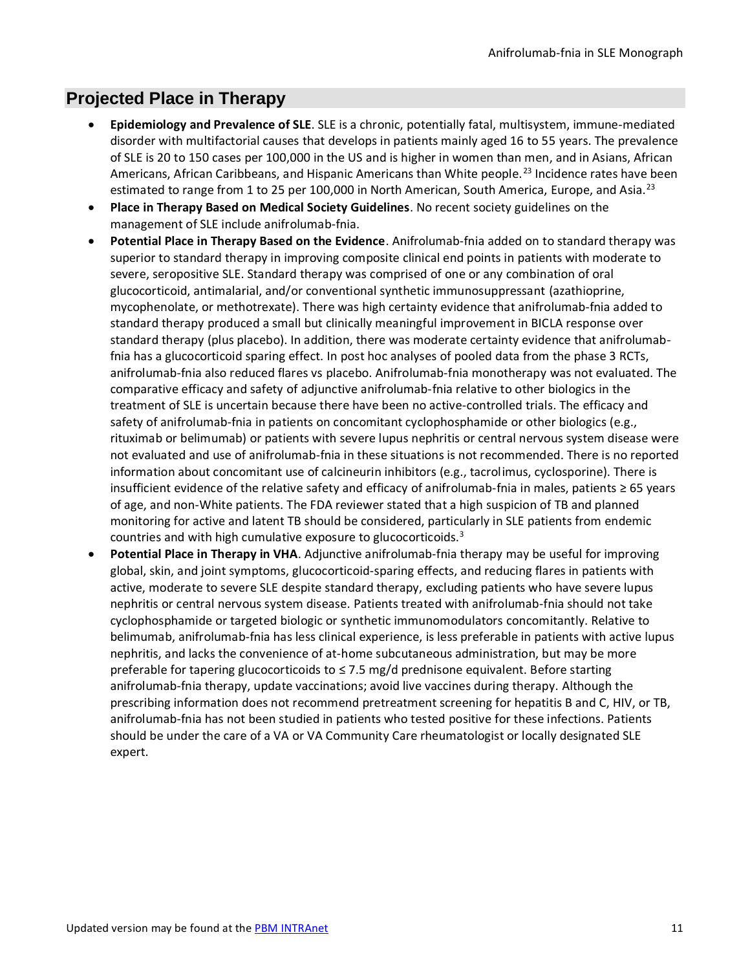# **Projected Place in Therapy**

- **Epidemiology and Prevalence of SLE**. SLE is a chronic, potentially fatal, multisystem, immune-mediated disorder with multifactorial causes that develops in patients mainly aged 16 to 55 years. The prevalence of SLE is 20 to 150 cases per 100,000 in the US and is higher in women than men, and in Asians, African Americans, African Caribbeans, and Hispanic Americans than White people.<sup>23</sup> Incidence rates have been estimated to range from 1 to 25 per 100,000 in North American, South America, Europe, and Asia.<sup>[23](#page-10-0)</sup>
- <span id="page-10-0"></span>• **Place in Therapy Based on Medical Society Guidelines**. No recent society guidelines on the management of SLE include anifrolumab-fnia.
- **Potential Place in Therapy Based on the Evidence**. Anifrolumab-fnia added on to standard therapy was superior to standard therapy in improving composite clinical end points in patients with moderate to severe, seropositive SLE. Standard therapy was comprised of one or any combination of oral glucocorticoid, antimalarial, and/or conventional synthetic immunosuppressant (azathioprine, mycophenolate, or methotrexate). There was high certainty evidence that anifrolumab-fnia added to standard therapy produced a small but clinically meaningful improvement in BICLA response over standard therapy (plus placebo). In addition, there was moderate certainty evidence that anifrolumabfnia has a glucocorticoid sparing effect. In post hoc analyses of pooled data from the phase 3 RCTs, anifrolumab-fnia also reduced flares vs placebo. Anifrolumab-fnia monotherapy was not evaluated. The comparative efficacy and safety of adjunctive anifrolumab-fnia relative to other biologics in the treatment of SLE is uncertain because there have been no active-controlled trials. The efficacy and safety of anifrolumab-fnia in patients on concomitant cyclophosphamide or other biologics (e.g., rituximab or belimumab) or patients with severe lupus nephritis or central nervous system disease were not evaluated and use of anifrolumab-fnia in these situations is not recommended. There is no reported information about concomitant use of calcineurin inhibitors (e.g., tacrolimus, cyclosporine). There is insufficient evidence of the relative safety and efficacy of anifrolumab-fnia in males, patients ≥ 65 years of age, and non-White patients. The FDA reviewer stated that a high suspicion of TB and planned monitoring for active and latent TB should be considered, particularly in SLE patients from endemic countries and with high cumulative exposure to glucocorticoids. $3$
- **Potential Place in Therapy in VHA**. Adjunctive anifrolumab-fnia therapy may be useful for improving global, skin, and joint symptoms, glucocorticoid-sparing effects, and reducing flares in patients with active, moderate to severe SLE despite standard therapy, excluding patients who have severe lupus nephritis or central nervous system disease. Patients treated with anifrolumab-fnia should not take cyclophosphamide or targeted biologic or synthetic immunomodulators concomitantly. Relative to belimumab, anifrolumab-fnia has less clinical experience, is less preferable in patients with active lupus nephritis, and lacks the convenience of at-home subcutaneous administration, but may be more preferable for tapering glucocorticoids to ≤ 7.5 mg/d prednisone equivalent. Before starting anifrolumab-fnia therapy, update vaccinations; avoid live vaccines during therapy. Although the prescribing information does not recommend pretreatment screening for hepatitis B and C, HIV, or TB, anifrolumab-fnia has not been studied in patients who tested positive for these infections. Patients should be under the care of a VA or VA Community Care rheumatologist or locally designated SLE expert.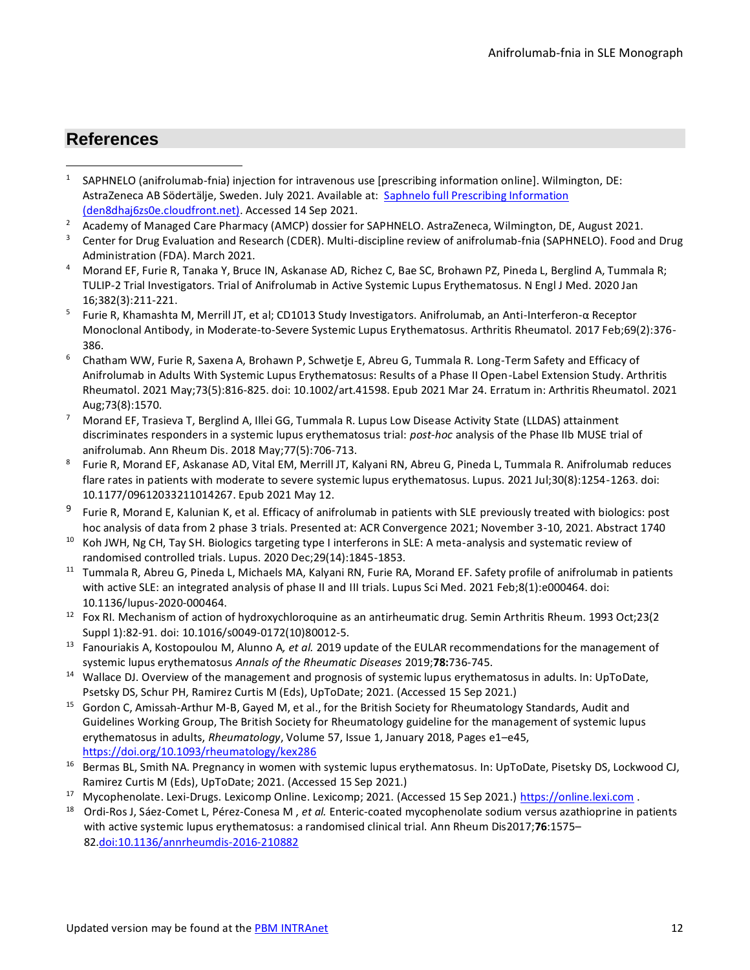# **References**

- 1 SAPHNELO (anifrolumab-fnia) injection for intravenous use [prescribing information online]. Wilmington, DE: AstraZeneca AB Södertälje, Sweden. July 2021. Available at: Saphnelo full Prescribing Information [\(den8dhaj6zs0e.cloudfront.net\).](https://den8dhaj6zs0e.cloudfront.net/50fd68b9-106b-4550-b5d0-12b045f8b184/44b6985c-8268-46b1-ba3e-2bb43bfd4d4c/44b6985c-8268-46b1-ba3e-2bb43bfd4d4c_viewable_rendition__v.pdf) Accessed 14 Sep 2021.
- 2 Academy of Managed Care Pharmacy (AMCP) dossier for SAPHNELO. AstraZeneca, Wilmington, DE, August 2021.
- 3 Center for Drug Evaluation and Research (CDER). Multi-discipline review of anifrolumab-fnia (SAPHNELO). Food and Drug Administration (FDA). March 2021.
- 4 Morand EF, Furie R, Tanaka Y, Bruce IN, Askanase AD, Richez C, Bae SC, Brohawn PZ, Pineda L, Berglind A, Tummala R; TULIP-2 Trial Investigators. Trial of Anifrolumab in Active Systemic Lupus Erythematosus. N Engl J Med. 2020 Jan 16;382(3):211-221.
- 5 Furie R, Khamashta M, Merrill JT, et al; CD1013 Study Investigators. Anifrolumab, an Anti-Interferon-α Receptor Monoclonal Antibody, in Moderate-to-Severe Systemic Lupus Erythematosus. Arthritis Rheumatol. 2017 Feb;69(2):376- 386.
- 6 Chatham WW, Furie R, Saxena A, Brohawn P, Schwetje E, Abreu G, Tummala R. Long-Term Safety and Efficacy of Anifrolumab in Adults With Systemic Lupus Erythematosus: Results of a Phase II Open-Label Extension Study. Arthritis Rheumatol. 2021 May;73(5):816-825. doi: 10.1002/art.41598. Epub 2021 Mar 24. Erratum in: Arthritis Rheumatol. 2021 Aug;73(8):1570.
- 7 Morand EF, Trasieva T, Berglind A, Illei GG, Tummala R. Lupus Low Disease Activity State (LLDAS) attainment discriminates responders in a systemic lupus erythematosus trial: *post-hoc* analysis of the Phase IIb MUSE trial of anifrolumab. Ann Rheum Dis. 2018 May;77(5):706-713.
- 8 Furie R, Morand EF, Askanase AD, Vital EM, Merrill JT, Kalyani RN, Abreu G, Pineda L, Tummala R. Anifrolumab reduces flare rates in patients with moderate to severe systemic lupus erythematosus. Lupus. 2021 Jul;30(8):1254-1263. doi: 10.1177/09612033211014267. Epub 2021 May 12.
- 9 Furie R, Morand E, Kalunian K, et al. Efficacy of anifrolumab in patients with SLE previously treated with biologics: post hoc analysis of data from 2 phase 3 trials. Presented at: ACR Convergence 2021; November 3-10, 2021. Abstract 1740
- <sup>10</sup> Koh JWH, Ng CH, Tay SH. Biologics targeting type I interferons in SLE: A meta-analysis and systematic review of randomised controlled trials. Lupus. 2020 Dec;29(14):1845-1853.
- <sup>11</sup> Tummala R, Abreu G, Pineda L, Michaels MA, Kalyani RN, Furie RA, Morand EF. Safety profile of anifrolumab in patients with active SLE: an integrated analysis of phase II and III trials. Lupus Sci Med. 2021 Feb;8(1):e000464. doi: 10.1136/lupus-2020-000464.
- <sup>12</sup> Fox RI. Mechanism of action of hydroxychloroquine as an antirheumatic drug. Semin Arthritis Rheum. 1993 Oct;23(2 Suppl 1):82-91. doi: 10.1016/s0049-0172(10)80012-5.
- <sup>13</sup> Fanouriakis A, Kostopoulou M, Alunno A*, et al.* 2019 update of the EULAR recommendations for the management of systemic lupus erythematosus *Annals of the Rheumatic Diseases* 2019;**78:**736-745.
- <sup>14</sup> Wallace DJ. Overview of the management and prognosis of systemic lupus erythematosus in adults. In: UpToDate, Psetsky DS, Schur PH, Ramirez Curtis M (Eds), UpToDate; 2021. (Accessed 15 Sep 2021.)
- <sup>15</sup> Gordon C, Amissah-Arthur M-B, Gayed M, et al., for the British Society for Rheumatology Standards, Audit and Guidelines Working Group, The British Society for Rheumatology guideline for the management of systemic lupus erythematosus in adults, *Rheumatology*, Volume 57, Issue 1, January 2018, Pages e1–e45, <https://doi.org/10.1093/rheumatology/kex286>
- <sup>16</sup> Bermas BL, Smith NA. Pregnancy in women with systemic lupus erythematosus. In: UpToDate, Pisetsky DS, Lockwood CJ, Ramirez Curtis M (Eds), UpToDate; 2021. (Accessed 15 Sep 2021.)
- <sup>17</sup> Mycophenolate. Lexi-Drugs. Lexicomp Online. Lexicomp; 2021. (Accessed 15 Sep 2021.) [https://online.lexi.com](https://online.lexi.com/) .
- <sup>18</sup> Ordi-Ros J, Sáez-Comet L, Pérez-Conesa M , *et al.* Enteric-coated mycophenolate sodium versus azathioprine in patients with active systemic lupus erythematosus: a randomised clinical trial. Ann Rheum Dis2017;**76**:1575– 82[.doi:10.1136/annrheumdis-2016-210882](http://dx.doi.org/10.1136/annrheumdis-2016-210882)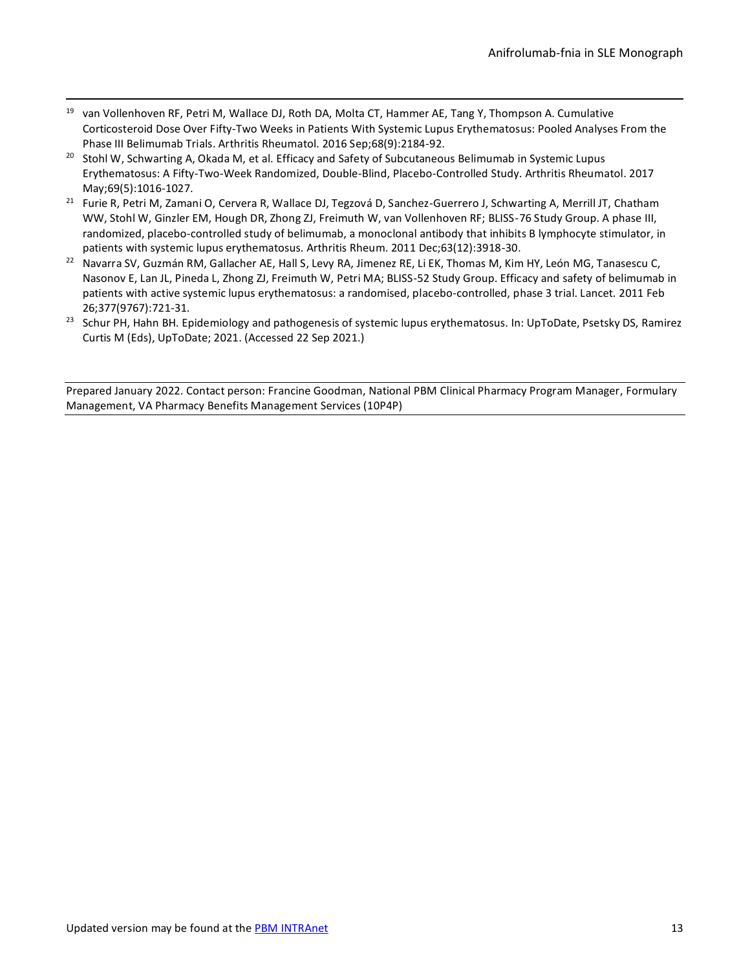- <sup>19</sup> van Vollenhoven RF, Petri M, Wallace DJ, Roth DA, Molta CT, Hammer AE, Tang Y, Thompson A. Cumulative Corticosteroid Dose Over Fifty-Two Weeks in Patients With Systemic Lupus Erythematosus: Pooled Analyses From the Phase III Belimumab Trials. Arthritis Rheumatol. 2016 Sep;68(9):2184-92.
- <sup>20</sup> Stohl W, Schwarting A, Okada M, et al. Efficacy and Safety of Subcutaneous Belimumab in Systemic Lupus Erythematosus: A Fifty-Two-Week Randomized, Double-Blind, Placebo-Controlled Study. Arthritis Rheumatol. 2017 May;69(5):1016-1027.
- <sup>21</sup> Furie R, Petri M, Zamani O, Cervera R, Wallace DJ, Tegzová D, Sanchez-Guerrero J, Schwarting A, Merrill JT, Chatham WW, Stohl W, Ginzler EM, Hough DR, Zhong ZJ, Freimuth W, van Vollenhoven RF; BLISS-76 Study Group. A phase III, randomized, placebo-controlled study of belimumab, a monoclonal antibody that inhibits B lymphocyte stimulator, in patients with systemic lupus erythematosus. Arthritis Rheum. 2011 Dec;63(12):3918-30.
- <sup>22</sup> Navarra SV, Guzmán RM, Gallacher AE, Hall S, Levy RA, Jimenez RE, Li EK, Thomas M, Kim HY, León MG, Tanasescu C, Nasonov E, Lan JL, Pineda L, Zhong ZJ, Freimuth W, Petri MA; BLISS-52 Study Group. Efficacy and safety of belimumab in patients with active systemic lupus erythematosus: a randomised, placebo-controlled, phase 3 trial. Lancet. 2011 Feb 26;377(9767):721-31.
- <sup>23</sup> Schur PH, Hahn BH. Epidemiology and pathogenesis of systemic lupus erythematosus. In: UpToDate, Psetsky DS, Ramirez Curtis M (Eds), UpToDate; 2021. (Accessed 22 Sep 2021.)

Prepared January 2022. Contact person: Francine Goodman, National PBM Clinical Pharmacy Program Manager, Formulary Management, VA Pharmacy Benefits Management Services (10P4P)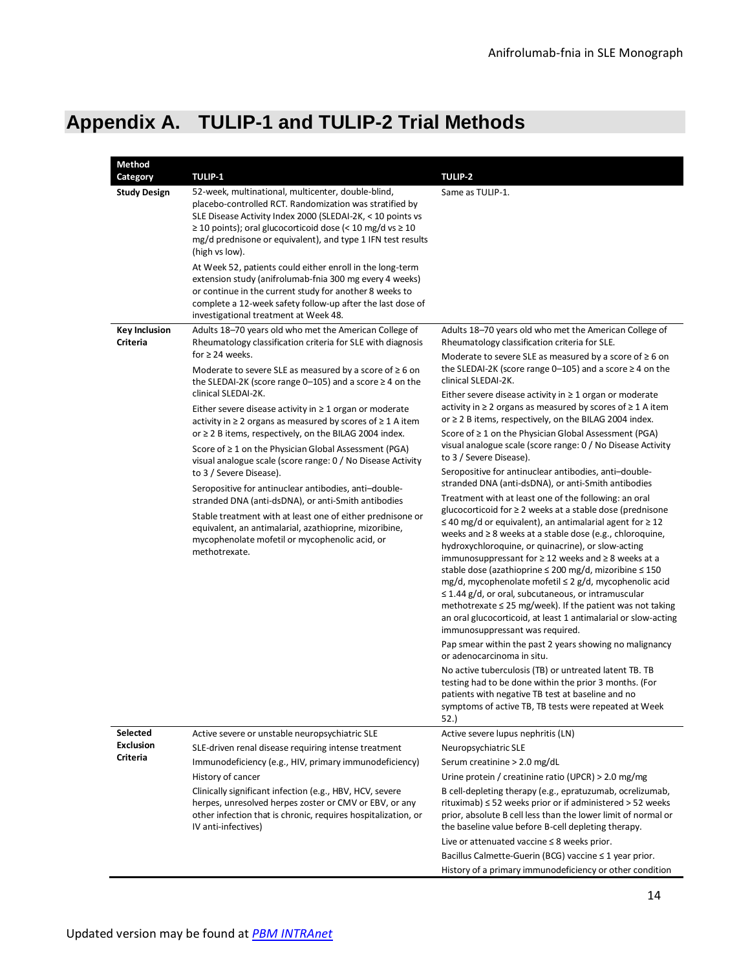# <span id="page-13-0"></span>**Appendix A. TULIP-1 and TULIP-2 Trial Methods**

| Method               |                                                                                                                                                                                                                                                                                                                                                                                                                                                                                                                                                                                                                                                                                                                                                                                                                                                                                                                       |                                                                                                                                                                                                                                                                                                                                                                                                                                                                                                                                                                                                                                                                                                                                                                                                                                                                                                                                                                                                                                                                                                                                                                                                                                                                                                                                                                                                                                                                                                                                                                                                                                              |
|----------------------|-----------------------------------------------------------------------------------------------------------------------------------------------------------------------------------------------------------------------------------------------------------------------------------------------------------------------------------------------------------------------------------------------------------------------------------------------------------------------------------------------------------------------------------------------------------------------------------------------------------------------------------------------------------------------------------------------------------------------------------------------------------------------------------------------------------------------------------------------------------------------------------------------------------------------|----------------------------------------------------------------------------------------------------------------------------------------------------------------------------------------------------------------------------------------------------------------------------------------------------------------------------------------------------------------------------------------------------------------------------------------------------------------------------------------------------------------------------------------------------------------------------------------------------------------------------------------------------------------------------------------------------------------------------------------------------------------------------------------------------------------------------------------------------------------------------------------------------------------------------------------------------------------------------------------------------------------------------------------------------------------------------------------------------------------------------------------------------------------------------------------------------------------------------------------------------------------------------------------------------------------------------------------------------------------------------------------------------------------------------------------------------------------------------------------------------------------------------------------------------------------------------------------------------------------------------------------------|
| Category             | <b>TULIP-1</b>                                                                                                                                                                                                                                                                                                                                                                                                                                                                                                                                                                                                                                                                                                                                                                                                                                                                                                        | <b>TULIP-2</b>                                                                                                                                                                                                                                                                                                                                                                                                                                                                                                                                                                                                                                                                                                                                                                                                                                                                                                                                                                                                                                                                                                                                                                                                                                                                                                                                                                                                                                                                                                                                                                                                                               |
| <b>Study Design</b>  | 52-week, multinational, multicenter, double-blind,<br>placebo-controlled RCT. Randomization was stratified by<br>SLE Disease Activity Index 2000 (SLEDAI-2K, < 10 points vs<br>$\geq$ 10 points); oral glucocorticoid dose (< 10 mg/d vs $\geq$ 10<br>mg/d prednisone or equivalent), and type 1 IFN test results<br>(high vs low).<br>At Week 52, patients could either enroll in the long-term<br>extension study (anifrolumab-fnia 300 mg every 4 weeks)<br>or continue in the current study for another 8 weeks to<br>complete a 12-week safety follow-up after the last dose of<br>investigational treatment at Week 48.                                                                                                                                                                                                                                                                                         | Same as TULIP-1.                                                                                                                                                                                                                                                                                                                                                                                                                                                                                                                                                                                                                                                                                                                                                                                                                                                                                                                                                                                                                                                                                                                                                                                                                                                                                                                                                                                                                                                                                                                                                                                                                             |
| <b>Key Inclusion</b> | Adults 18–70 years old who met the American College of                                                                                                                                                                                                                                                                                                                                                                                                                                                                                                                                                                                                                                                                                                                                                                                                                                                                | Adults 18-70 years old who met the American College of                                                                                                                                                                                                                                                                                                                                                                                                                                                                                                                                                                                                                                                                                                                                                                                                                                                                                                                                                                                                                                                                                                                                                                                                                                                                                                                                                                                                                                                                                                                                                                                       |
| <b>Criteria</b>      | Rheumatology classification criteria for SLE with diagnosis<br>for $\geq$ 24 weeks.<br>Moderate to severe SLE as measured by a score of $\geq 6$ on<br>the SLEDAI-2K (score range 0–105) and a score $\geq 4$ on the<br>clinical SLEDAI-2K.<br>Either severe disease activity in $\geq 1$ organ or moderate<br>activity in $\geq 2$ organs as measured by scores of $\geq 1$ A item<br>or $\geq$ 2 B items, respectively, on the BILAG 2004 index.<br>Score of $\geq 1$ on the Physician Global Assessment (PGA)<br>visual analogue scale (score range: 0 / No Disease Activity<br>to 3 / Severe Disease).<br>Seropositive for antinuclear antibodies, anti-double-<br>stranded DNA (anti-dsDNA), or anti-Smith antibodies<br>Stable treatment with at least one of either prednisone or<br>equivalent, an antimalarial, azathioprine, mizoribine,<br>mycophenolate mofetil or mycophenolic acid, or<br>methotrexate. | Rheumatology classification criteria for SLE.<br>Moderate to severe SLE as measured by a score of $\geq 6$ on<br>the SLEDAI-2K (score range 0–105) and a score $\geq 4$ on the<br>clinical SLEDAI-2K.<br>Either severe disease activity in $\geq 1$ organ or moderate<br>activity in $\geq 2$ organs as measured by scores of $\geq 1$ A item<br>or $\geq$ 2 B items, respectively, on the BILAG 2004 index.<br>Score of $\geq 1$ on the Physician Global Assessment (PGA)<br>visual analogue scale (score range: 0 / No Disease Activity<br>to 3 / Severe Disease).<br>Seropositive for antinuclear antibodies, anti-double-<br>stranded DNA (anti-dsDNA), or anti-Smith antibodies<br>Treatment with at least one of the following: an oral<br>glucocorticoid for ≥ 2 weeks at a stable dose (prednisone<br>$\leq$ 40 mg/d or equivalent), an antimalarial agent for $\geq$ 12<br>weeks and $\geq 8$ weeks at a stable dose (e.g., chloroquine,<br>hydroxychloroquine, or quinacrine), or slow-acting<br>immunosuppressant for $\geq 12$ weeks and $\geq 8$ weeks at a<br>stable dose (azathioprine ≤ 200 mg/d, mizoribine ≤ 150<br>mg/d, mycophenolate mofetil ≤ 2 g/d, mycophenolic acid<br>$\leq$ 1.44 g/d, or oral, subcutaneous, or intramuscular<br>methotrexate $\leq$ 25 mg/week). If the patient was not taking<br>an oral glucocorticoid, at least 1 antimalarial or slow-acting<br>immunosuppressant was required.<br>Pap smear within the past 2 years showing no malignancy<br>or adenocarcinoma in situ.<br>No active tuberculosis (TB) or untreated latent TB. TB<br>testing had to be done within the prior 3 months. (For |
|                      |                                                                                                                                                                                                                                                                                                                                                                                                                                                                                                                                                                                                                                                                                                                                                                                                                                                                                                                       | patients with negative TB test at baseline and no                                                                                                                                                                                                                                                                                                                                                                                                                                                                                                                                                                                                                                                                                                                                                                                                                                                                                                                                                                                                                                                                                                                                                                                                                                                                                                                                                                                                                                                                                                                                                                                            |
|                      |                                                                                                                                                                                                                                                                                                                                                                                                                                                                                                                                                                                                                                                                                                                                                                                                                                                                                                                       | symptoms of active TB, TB tests were repeated at Week<br>52.)                                                                                                                                                                                                                                                                                                                                                                                                                                                                                                                                                                                                                                                                                                                                                                                                                                                                                                                                                                                                                                                                                                                                                                                                                                                                                                                                                                                                                                                                                                                                                                                |
| Selected             | Active severe or unstable neuropsychiatric SLE                                                                                                                                                                                                                                                                                                                                                                                                                                                                                                                                                                                                                                                                                                                                                                                                                                                                        | Active severe lupus nephritis (LN)                                                                                                                                                                                                                                                                                                                                                                                                                                                                                                                                                                                                                                                                                                                                                                                                                                                                                                                                                                                                                                                                                                                                                                                                                                                                                                                                                                                                                                                                                                                                                                                                           |
| <b>Exclusion</b>     | SLE-driven renal disease requiring intense treatment                                                                                                                                                                                                                                                                                                                                                                                                                                                                                                                                                                                                                                                                                                                                                                                                                                                                  | Neuropsychiatric SLE                                                                                                                                                                                                                                                                                                                                                                                                                                                                                                                                                                                                                                                                                                                                                                                                                                                                                                                                                                                                                                                                                                                                                                                                                                                                                                                                                                                                                                                                                                                                                                                                                         |
| Criteria             | Immunodeficiency (e.g., HIV, primary immunodeficiency)                                                                                                                                                                                                                                                                                                                                                                                                                                                                                                                                                                                                                                                                                                                                                                                                                                                                | Serum creatinine > 2.0 mg/dL                                                                                                                                                                                                                                                                                                                                                                                                                                                                                                                                                                                                                                                                                                                                                                                                                                                                                                                                                                                                                                                                                                                                                                                                                                                                                                                                                                                                                                                                                                                                                                                                                 |
|                      | History of cancer                                                                                                                                                                                                                                                                                                                                                                                                                                                                                                                                                                                                                                                                                                                                                                                                                                                                                                     | Urine protein / creatinine ratio (UPCR) > 2.0 mg/mg                                                                                                                                                                                                                                                                                                                                                                                                                                                                                                                                                                                                                                                                                                                                                                                                                                                                                                                                                                                                                                                                                                                                                                                                                                                                                                                                                                                                                                                                                                                                                                                          |
|                      | Clinically significant infection (e.g., HBV, HCV, severe<br>herpes, unresolved herpes zoster or CMV or EBV, or any<br>other infection that is chronic, requires hospitalization, or<br>IV anti-infectives)                                                                                                                                                                                                                                                                                                                                                                                                                                                                                                                                                                                                                                                                                                            | B cell-depleting therapy (e.g., epratuzumab, ocrelizumab,<br>rituximab) $\leq$ 52 weeks prior or if administered > 52 weeks<br>prior, absolute B cell less than the lower limit of normal or<br>the baseline value before B-cell depleting therapy.<br>Live or attenuated vaccine $\leq 8$ weeks prior.                                                                                                                                                                                                                                                                                                                                                                                                                                                                                                                                                                                                                                                                                                                                                                                                                                                                                                                                                                                                                                                                                                                                                                                                                                                                                                                                      |
|                      |                                                                                                                                                                                                                                                                                                                                                                                                                                                                                                                                                                                                                                                                                                                                                                                                                                                                                                                       | Bacillus Calmette-Guerin (BCG) vaccine ≤ 1 year prior.                                                                                                                                                                                                                                                                                                                                                                                                                                                                                                                                                                                                                                                                                                                                                                                                                                                                                                                                                                                                                                                                                                                                                                                                                                                                                                                                                                                                                                                                                                                                                                                       |
|                      |                                                                                                                                                                                                                                                                                                                                                                                                                                                                                                                                                                                                                                                                                                                                                                                                                                                                                                                       | History of a primary immunodeficiency or other condition                                                                                                                                                                                                                                                                                                                                                                                                                                                                                                                                                                                                                                                                                                                                                                                                                                                                                                                                                                                                                                                                                                                                                                                                                                                                                                                                                                                                                                                                                                                                                                                     |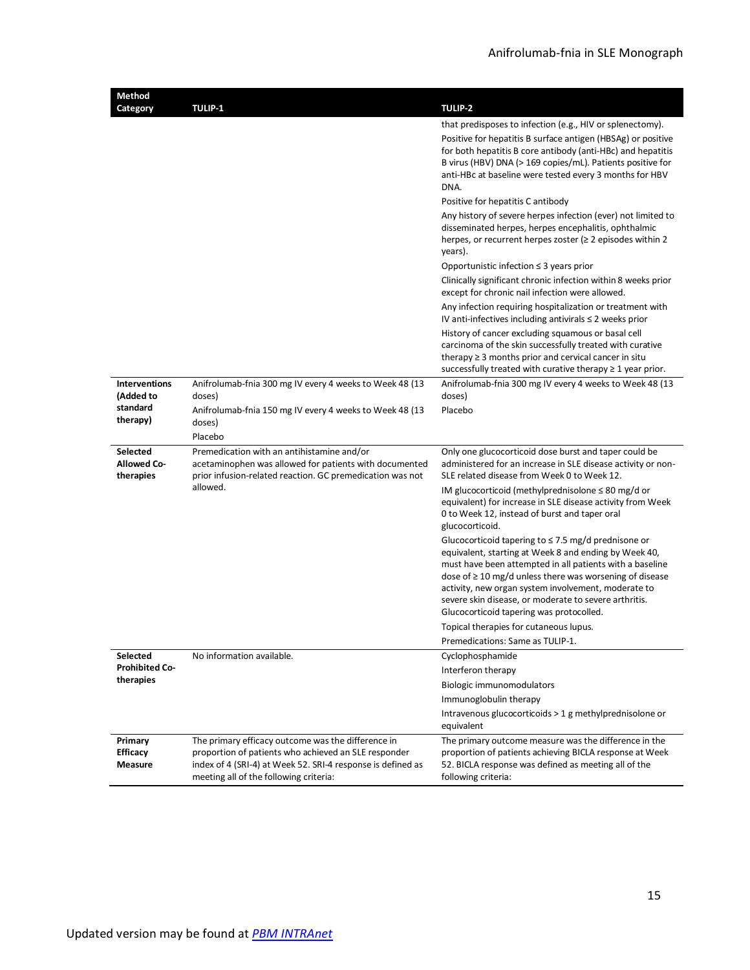| Method<br>Category                           | <b>TULIP-1</b>                                                                                                                                                                                                      | <b>TULIP-2</b>                                                                                                                                                                                                                                               |
|----------------------------------------------|---------------------------------------------------------------------------------------------------------------------------------------------------------------------------------------------------------------------|--------------------------------------------------------------------------------------------------------------------------------------------------------------------------------------------------------------------------------------------------------------|
|                                              |                                                                                                                                                                                                                     | that predisposes to infection (e.g., HIV or splenectomy).                                                                                                                                                                                                    |
|                                              |                                                                                                                                                                                                                     | Positive for hepatitis B surface antigen (HBSAg) or positive<br>for both hepatitis B core antibody (anti-HBc) and hepatitis<br>B virus (HBV) DNA (> 169 copies/mL). Patients positive for<br>anti-HBc at baseline were tested every 3 months for HBV<br>DNA. |
|                                              |                                                                                                                                                                                                                     | Positive for hepatitis C antibody                                                                                                                                                                                                                            |
|                                              |                                                                                                                                                                                                                     | Any history of severe herpes infection (ever) not limited to<br>disseminated herpes, herpes encephalitis, ophthalmic<br>herpes, or recurrent herpes zoster ( $\geq 2$ episodes within 2<br>years).                                                           |
|                                              |                                                                                                                                                                                                                     | Opportunistic infection $\leq$ 3 years prior                                                                                                                                                                                                                 |
|                                              |                                                                                                                                                                                                                     | Clinically significant chronic infection within 8 weeks prior<br>except for chronic nail infection were allowed.                                                                                                                                             |
|                                              |                                                                                                                                                                                                                     | Any infection requiring hospitalization or treatment with<br>IV anti-infectives including antivirals $\leq 2$ weeks prior                                                                                                                                    |
|                                              |                                                                                                                                                                                                                     | History of cancer excluding squamous or basal cell<br>carcinoma of the skin successfully treated with curative<br>therapy $\geq 3$ months prior and cervical cancer in situ<br>successfully treated with curative therapy $\geq 1$ year prior.               |
| <b>Interventions</b><br>(Added to            | Anifrolumab-fnia 300 mg IV every 4 weeks to Week 48 (13<br>doses)                                                                                                                                                   | Anifrolumab-fnia 300 mg IV every 4 weeks to Week 48 (13<br>doses)                                                                                                                                                                                            |
| standard                                     | Anifrolumab-fnia 150 mg IV every 4 weeks to Week 48 (13                                                                                                                                                             | Placebo                                                                                                                                                                                                                                                      |
| therapy)                                     | doses)                                                                                                                                                                                                              |                                                                                                                                                                                                                                                              |
|                                              | Placebo                                                                                                                                                                                                             |                                                                                                                                                                                                                                                              |
| Selected<br><b>Allowed Co-</b><br>therapies  | Premedication with an antihistamine and/or<br>acetaminophen was allowed for patients with documented<br>prior infusion-related reaction. GC premedication was not                                                   | Only one glucocorticoid dose burst and taper could be<br>administered for an increase in SLE disease activity or non-<br>SLE related disease from Week 0 to Week 12.                                                                                         |
|                                              | allowed.                                                                                                                                                                                                            | IM glucocorticoid (methylprednisolone $\leq 80$ mg/d or<br>equivalent) for increase in SLE disease activity from Week<br>0 to Week 12, instead of burst and taper oral<br>glucocorticoid.                                                                    |
|                                              |                                                                                                                                                                                                                     | Glucocorticoid tapering to $\leq$ 7.5 mg/d prednisone or<br>equivalent, starting at Week 8 and ending by Week 40,<br>must have been attempted in all patients with a baseline                                                                                |
|                                              |                                                                                                                                                                                                                     | dose of $\geq 10$ mg/d unless there was worsening of disease<br>activity, new organ system involvement, moderate to<br>severe skin disease, or moderate to severe arthritis.<br>Glucocorticoid tapering was protocolled.                                     |
|                                              |                                                                                                                                                                                                                     | Topical therapies for cutaneous lupus.                                                                                                                                                                                                                       |
|                                              |                                                                                                                                                                                                                     | Premedications: Same as TULIP-1.                                                                                                                                                                                                                             |
| Selected<br><b>Prohibited Co-</b>            | No information available.                                                                                                                                                                                           | Cyclophosphamide                                                                                                                                                                                                                                             |
| therapies                                    |                                                                                                                                                                                                                     | Interferon therapy<br><b>Biologic immunomodulators</b>                                                                                                                                                                                                       |
|                                              |                                                                                                                                                                                                                     | Immunoglobulin therapy                                                                                                                                                                                                                                       |
|                                              |                                                                                                                                                                                                                     | Intravenous glucocorticoids > 1 g methylprednisolone or<br>equivalent                                                                                                                                                                                        |
| Primary<br><b>Efficacy</b><br><b>Measure</b> | The primary efficacy outcome was the difference in<br>proportion of patients who achieved an SLE responder<br>index of 4 (SRI-4) at Week 52. SRI-4 response is defined as<br>meeting all of the following criteria: | The primary outcome measure was the difference in the<br>proportion of patients achieving BICLA response at Week<br>52. BICLA response was defined as meeting all of the<br>following criteria:                                                              |